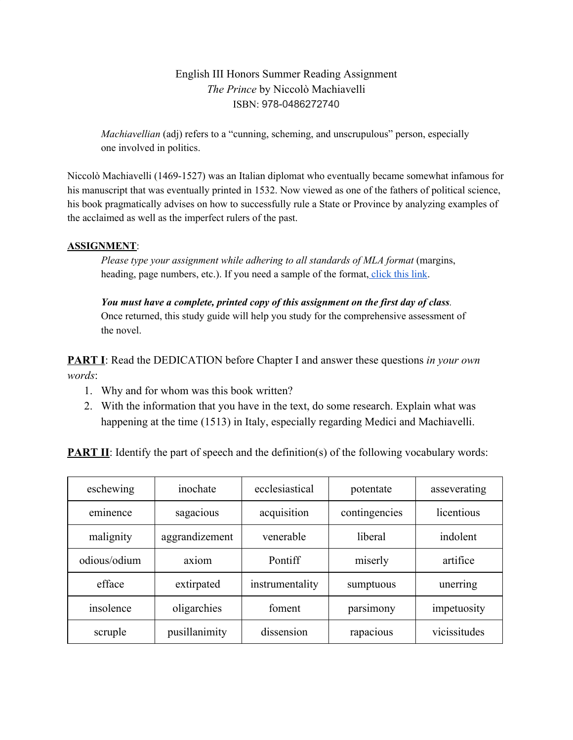## English III Honors Summer Reading Assignment *The Prince* by Niccolò Machiavelli ISBN: 978-0486272740

*Machiavellian* (adj) refers to a "cunning, scheming, and unscrupulous" person, especially one involved in politics.

Niccolò Machiavelli (1469-1527) was an Italian diplomat who eventually became somewhat infamous for his manuscript that was eventually printed in 1532. Now viewed as one of the fathers of political science, his book pragmatically advises on how to successfully rule a State or Province by analyzing examples of the acclaimed as well as the imperfect rulers of the past.

## **ASSIGNMENT**:

*Please type your assignment while adhering to all standards of MLA format* (margins, heading, page numbers, etc.). If you need a sample of the format, [click](https://owl.purdue.edu/owl/research_and_citation/mla_style/mla_formatting_and_style_guide/documents/20180702110400_747-2.pdf) this link.

*You must have a complete, printed copy of this assignment on the first day of class.* Once returned, this study guide will help you study for the comprehensive assessment of the novel.

**PART I**: Read the DEDICATION before Chapter I and answer these questions *in your own words*:

- 1. Why and for whom was this book written?
- 2. With the information that you have in the text, do some research. Explain what was happening at the time (1513) in Italy, especially regarding Medici and Machiavelli.

**PART II:** Identify the part of speech and the definition(s) of the following vocabulary words:

| eschewing    | inochate       | ecclesiastical  | potentate     | asseverating |
|--------------|----------------|-----------------|---------------|--------------|
| eminence     | sagacious      | acquisition     | contingencies | licentious   |
| malignity    | aggrandizement | venerable       | liberal       | indolent     |
| odious/odium | axiom          | Pontiff         | miserly       | artifice     |
| efface       | extirpated     | instrumentality | sumptuous     | unerring     |
| insolence    | oligarchies    | foment          | parsimony     | impetuosity  |
| scruple      | pusillanimity  | dissension      | rapacious     | vicissitudes |